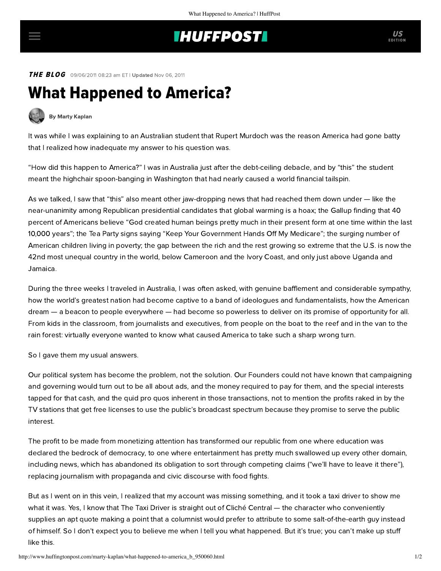## **INUFFPOSTI** US

**THE BLOG** 09/06/2011 08:23 am ET | Updated Nov 06, 2011

# What Happened to America?



### [By Marty Kaplan](http://www.huffingtonpost.com/author/marty-kaplan)

It was while I was explaining to an Australian student that Rupert Murdoch was the reason America had gone batty that I realized how inadequate my answer to his question was.

"How did this happen to America?" I was in Australia just after the debt-ceiling debacle, and by "this" the student meant the highchair spoon-banging in Washington that had nearly caused a world financial tailspin.

As we talked, I saw that "this" also meant other jaw-dropping news that had reached them down under — like the near-unanimity among Republican presidential candidates that global warming is a hoax; the [Gallup](http://www.gallup.com/poll/21814/evolution-creationism-intelligent-design.aspx) finding that 40 percent of Americans believe "God created human beings pretty much in their present form at one time within the last 10,000 years"; the Tea Party signs saying "Keep Your Government Hands Off My Medicare"; the surging number of American children living in poverty; the gap between the rich and the rest growing so extreme that the U.S. is now the 42nd most unequal country in the world, below Cameroon and the Ivory Coast, and only just above Uganda and Jamaica.

During the three weeks I traveled in Australia, I was often asked, with genuine bafflement and considerable sympathy, how the world's greatest nation had become captive to a band of ideologues and fundamentalists, how the American dream — a beacon to people everywhere — had become so powerless to deliver on its promise of opportunity for all. From kids in the classroom, from journalists and executives, from people on the boat to the reef and in the van to the rain forest: virtually everyone wanted to know what caused America to take such a sharp wrong turn.

So I gave them my usual answers.

Our political system has become the problem, not the solution. Our Founders could not have known that campaigning and governing would turn out to be all about ads, and the money required to pay for them, and the special interests tapped for that cash, and the quid pro quos inherent in those transactions, not to mention the profits raked in by the TV stations that get free licenses to use the public's broadcast spectrum because they promise to serve the public interest.

The profit to be made from monetizing attention has transformed our republic from one where education was declared the bedrock of democracy, to one where entertainment has pretty much swallowed up every other domain, including news, which has abandoned its obligation to sort through competing claims ("we'll have to leave it there"), replacing journalism with propaganda and civic discourse with food fights.

But as I went on in this vein, I realized that my account was missing something, and it took a taxi driver to show me what it was. Yes, I know that The Taxi Driver is straight out of Cliché Central — the character who conveniently supplies an apt quote making a point that a columnist would prefer to attribute to some salt-of-the-earth guy instead of himself. So I don't expect you to believe me when I tell you what happened. But it's true; you can't make up stuff like this.